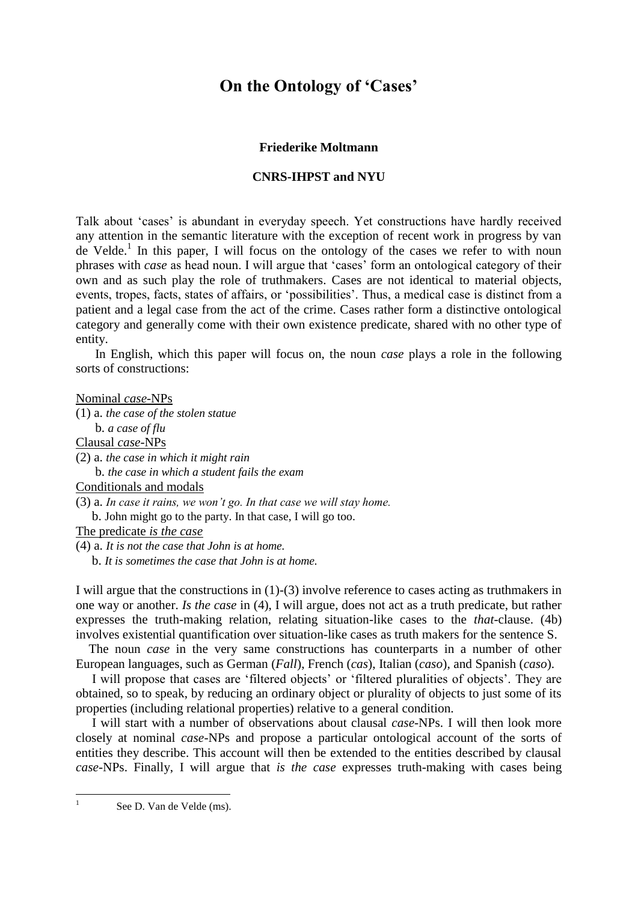# **On the Ontology of 'Cases'**

## **Friederike Moltmann**

## **CNRS-IHPST and NYU**

Talk about 'cases' is abundant in everyday speech. Yet constructions have hardly received any attention in the semantic literature with the exception of recent work in progress by van de Velde.<sup>1</sup> In this paper, I will focus on the ontology of the cases we refer to with noun phrases with *case* as head noun. I will argue that 'cases' form an ontological category of their own and as such play the role of truthmakers. Cases are not identical to material objects, events, tropes, facts, states of affairs, or 'possibilities'. Thus, a medical case is distinct from a patient and a legal case from the act of the crime. Cases rather form a distinctive ontological category and generally come with their own existence predicate, shared with no other type of entity.

 In English, which this paper will focus on, the noun *case* plays a role in the following sorts of constructions:

Nominal *case*-NPs

(1) a. *the case of the stolen statue*

b. *a case of flu*

Clausal *case*-NPs

(2) a. *the case in which it might rain*

b. *the case in which a student fails the exam*

Conditionals and modals

(3) a. *In case it rains, we won't go. In that case we will stay home.*

b. John might go to the party. In that case, I will go too.

The predicate *is the case*

(4) a. *It is not the case that John is at home.* b. *It is sometimes the case that John is at home.*

I will argue that the constructions in (1)-(3) involve reference to cases acting as truthmakers in

one way or another. *Is the case* in (4), I will argue, does not act as a truth predicate, but rather expresses the truth-making relation, relating situation-like cases to the *that*-clause. (4b) involves existential quantification over situation-like cases as truth makers for the sentence S.

 The noun *case* in the very same constructions has counterparts in a number of other European languages, such as German (*Fall*), French (*cas*), Italian (*caso*), and Spanish (*caso*).

 I will propose that cases are 'filtered objects' or 'filtered pluralities of objects'. They are obtained, so to speak, by reducing an ordinary object or plurality of objects to just some of its properties (including relational properties) relative to a general condition.

 I will start with a number of observations about clausal *case*-NPs. I will then look more closely at nominal *case*-NPs and propose a particular ontological account of the sorts of entities they describe. This account will then be extended to the entities described by clausal *case*-NPs. Finally, I will argue that *is the case* expresses truth-making with cases being

See D. Van de Velde (ms).

 $\frac{1}{1}$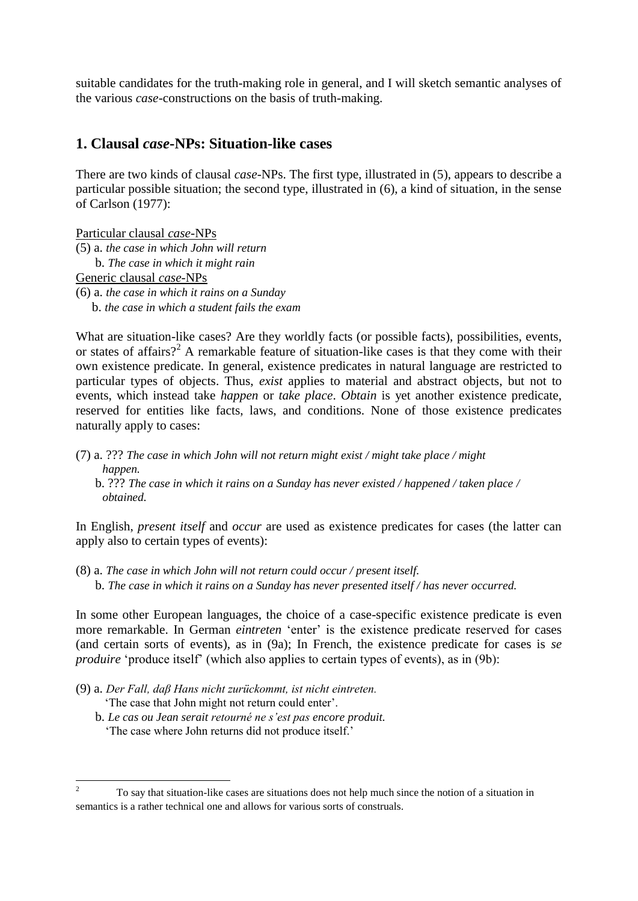suitable candidates for the truth-making role in general, and I will sketch semantic analyses of the various *case*-constructions on the basis of truth-making.

# **1. Clausal** *case***-NPs: Situation-like cases**

There are two kinds of clausal *case*-NPs. The first type, illustrated in (5), appears to describe a particular possible situation; the second type, illustrated in (6), a kind of situation, in the sense of Carlson (1977):

Particular clausal *case*-NPs (5) a. *the case in which John will return* b. *The case in which it might rain* Generic clausal *case*-NPs (6) a. *the case in which it rains on a Sunday* b. *the case in which a student fails the exam*

What are situation-like cases? Are they worldly facts (or possible facts), possibilities, events, or states of affairs?<sup>2</sup> A remarkable feature of situation-like cases is that they come with their own existence predicate. In general, existence predicates in natural language are restricted to particular types of objects. Thus, *exist* applies to material and abstract objects, but not to events, which instead take *happen* or *take place*. *Obtain* is yet another existence predicate, reserved for entities like facts, laws, and conditions. None of those existence predicates naturally apply to cases:

(7) a. ??? *The case in which John will not return might exist / might take place / might happen.* b. ??? *The case in which it rains on a Sunday has never existed / happened / taken place / obtained.* 

In English, *present itself* and *occur* are used as existence predicates for cases (the latter can apply also to certain types of events):

(8) a. *The case in which John will not return could occur / present itself.* b. *The case in which it rains on a Sunday has never presented itself / has never occurred.*

In some other European languages, the choice of a case-specific existence predicate is even more remarkable. In German *eintreten* 'enter' is the existence predicate reserved for cases (and certain sorts of events), as in (9a); In French, the existence predicate for cases is *se produire* 'produce itself' (which also applies to certain types of events), as in (9b):

- (9) a. *Der Fall, daβ Hans nicht zurückommt, ist nicht eintreten.* 'The case that John might not return could enter'.
	- b. *Le cas ou Jean serait retourné ne s'est pas encore produit.*  'The case where John returns did not produce itself.'

 $\overline{2}$ <sup>2</sup> To say that situation-like cases are situations does not help much since the notion of a situation in semantics is a rather technical one and allows for various sorts of construals.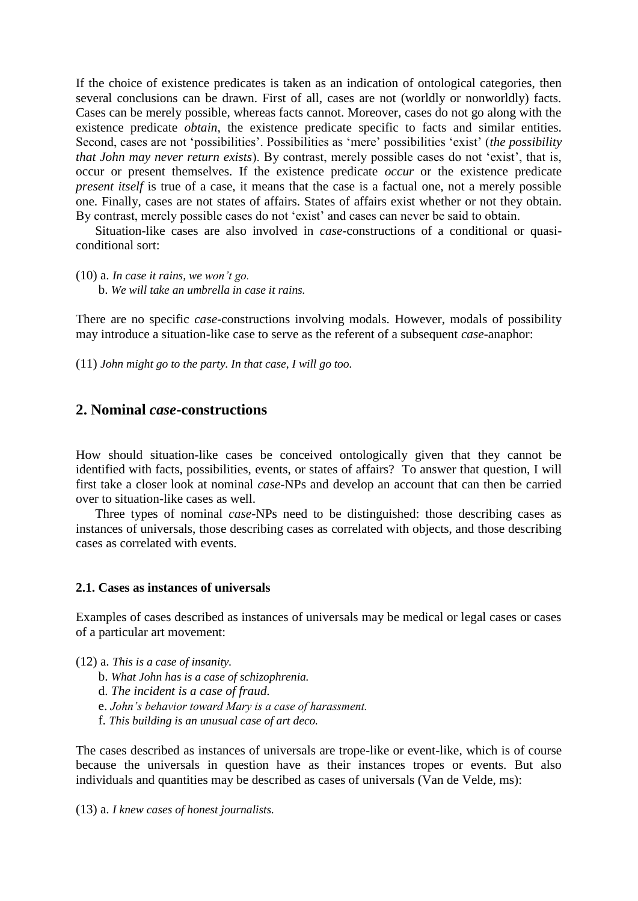If the choice of existence predicates is taken as an indication of ontological categories, then several conclusions can be drawn. First of all, cases are not (worldly or nonworldly) facts. Cases can be merely possible, whereas facts cannot. Moreover, cases do not go along with the existence predicate *obtain*, the existence predicate specific to facts and similar entities. Second, cases are not 'possibilities'. Possibilities as 'mere' possibilities 'exist' (*the possibility that John may never return exists*). By contrast, merely possible cases do not 'exist', that is, occur or present themselves. If the existence predicate *occur* or the existence predicate *present itself* is true of a case, it means that the case is a factual one, not a merely possible one. Finally, cases are not states of affairs. States of affairs exist whether or not they obtain. By contrast, merely possible cases do not 'exist' and cases can never be said to obtain.

 Situation-like cases are also involved in *case*-constructions of a conditional or quasiconditional sort:

(10) a. *In case it rains, we won't go.*

b. *We will take an umbrella in case it rains.*

There are no specific *case-*constructions involving modals. However, modals of possibility may introduce a situation-like case to serve as the referent of a subsequent *case*-anaphor:

(11) *John might go to the party. In that case, I will go too.*

# **2. Nominal** *case***-constructions**

How should situation-like cases be conceived ontologically given that they cannot be identified with facts, possibilities, events, or states of affairs? To answer that question, I will first take a closer look at nominal *case*-NPs and develop an account that can then be carried over to situation-like cases as well.

 Three types of nominal *case-*NPs need to be distinguished: those describing cases as instances of universals, those describing cases as correlated with objects, and those describing cases as correlated with events.

#### **2.1. Cases as instances of universals**

Examples of cases described as instances of universals may be medical or legal cases or cases of a particular art movement:

- (12) a. *This is a case of insanity.*
	- b. *What John has is a case of schizophrenia.*
	- d. *The incident is a case of fraud.*
	- e. *John's behavior toward Mary is a case of harassment.*
	- f. *This building is an unusual case of art deco.*

The cases described as instances of universals are trope-like or event-like, which is of course because the universals in question have as their instances tropes or events. But also individuals and quantities may be described as cases of universals (Van de Velde, ms):

(13) a. *I knew cases of honest journalists.*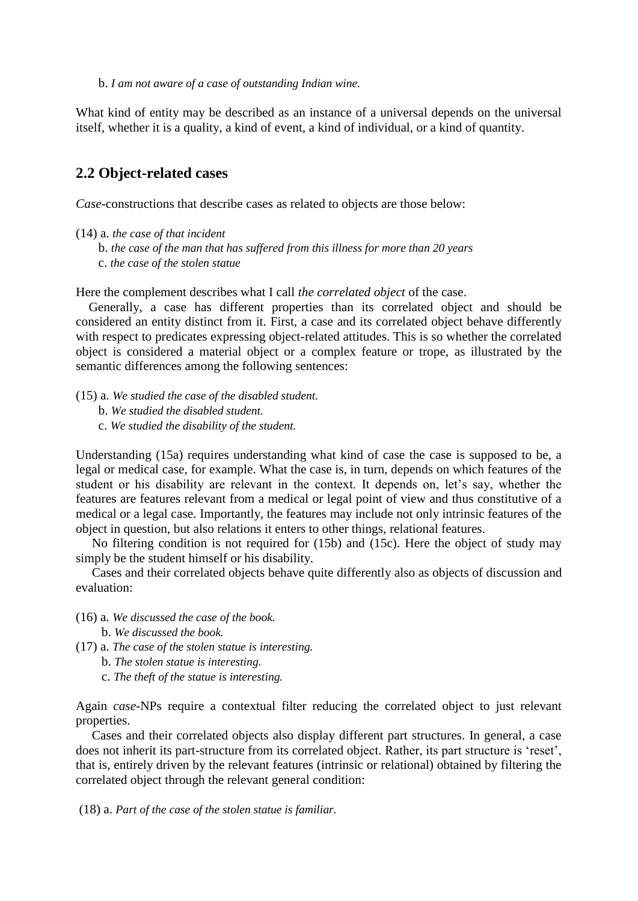b. *I am not aware of a case of outstanding Indian wine.*

What kind of entity may be described as an instance of a universal depends on the universal itself, whether it is a quality, a kind of event, a kind of individual, or a kind of quantity.

# **2.2 Object-related cases**

*Case*-constructions that describe cases as related to objects are those below:

- (14) a. *the case of that incident*
	- b. *the case of the man that has suffered from this illness for more than 20 years*
	- c. *the case of the stolen statue*

Here the complement describes what I call *the correlated object* of the case.

 Generally, a case has different properties than its correlated object and should be considered an entity distinct from it. First, a case and its correlated object behave differently with respect to predicates expressing object-related attitudes. This is so whether the correlated object is considered a material object or a complex feature or trope, as illustrated by the semantic differences among the following sentences:

(15) a. *We studied the case of the disabled student.*

- b. *We studied the disabled student.*
- c. *We studied the disability of the student.*

Understanding (15a) requires understanding what kind of case the case is supposed to be, a legal or medical case, for example. What the case is, in turn, depends on which features of the student or his disability are relevant in the context. It depends on, let's say, whether the features are features relevant from a medical or legal point of view and thus constitutive of a medical or a legal case. Importantly, the features may include not only intrinsic features of the object in question, but also relations it enters to other things, relational features.

 No filtering condition is not required for (15b) and (15c). Here the object of study may simply be the student himself or his disability.

 Cases and their correlated objects behave quite differently also as objects of discussion and evaluation:

- (16) a. *We discussed the case of the book.*
	- b. *We discussed the book.*
- (17) a. *The case of the stolen statue is interesting.*
	- b. *The stolen statue is interesting.*
	- c. *The theft of the statue is interesting.*

Again *case*-NPs require a contextual filter reducing the correlated object to just relevant properties.

 Cases and their correlated objects also display different part structures. In general, a case does not inherit its part-structure from its correlated object. Rather, its part structure is 'reset', that is, entirely driven by the relevant features (intrinsic or relational) obtained by filtering the correlated object through the relevant general condition:

(18) a. *Part of the case of the stolen statue is familiar.*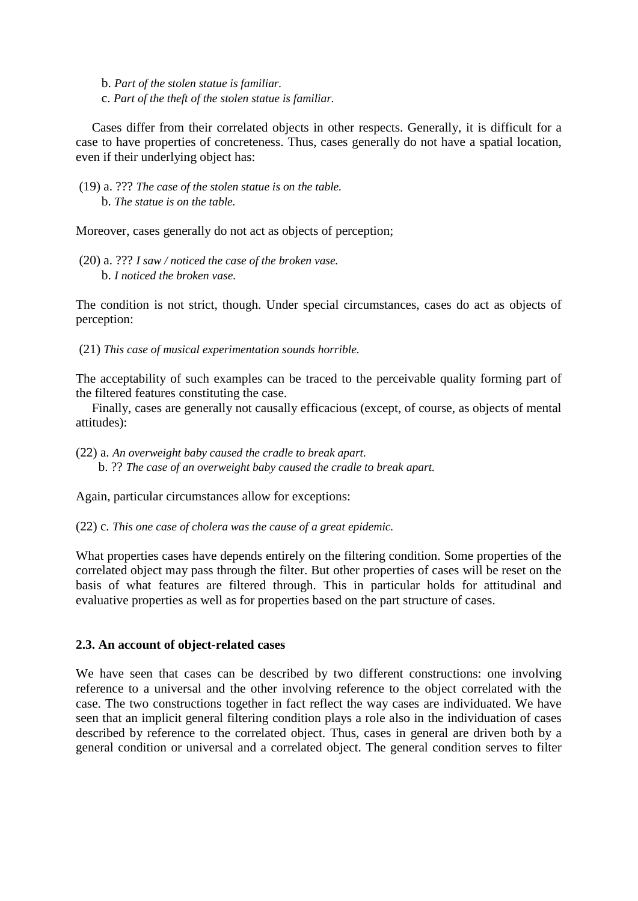- b. *Part of the stolen statue is familiar.*
- c. *Part of the theft of the stolen statue is familiar.*

 Cases differ from their correlated objects in other respects. Generally, it is difficult for a case to have properties of concreteness. Thus, cases generally do not have a spatial location, even if their underlying object has:

(19) a. ??? *The case of the stolen statue is on the table.* b. *The statue is on the table.*

Moreover, cases generally do not act as objects of perception;

(20) a. ??? *I saw / noticed the case of the broken vase.* b. *I noticed the broken vase.*

The condition is not strict, though. Under special circumstances, cases do act as objects of perception:

(21) *This case of musical experimentation sounds horrible.*

The acceptability of such examples can be traced to the perceivable quality forming part of the filtered features constituting the case.

 Finally, cases are generally not causally efficacious (except, of course, as objects of mental attitudes):

(22) a. *An overweight baby caused the cradle to break apart.* b. ?? *The case of an overweight baby caused the cradle to break apart.*

Again, particular circumstances allow for exceptions:

(22) c. *This one case of cholera was the cause of a great epidemic.*

What properties cases have depends entirely on the filtering condition. Some properties of the correlated object may pass through the filter. But other properties of cases will be reset on the basis of what features are filtered through. This in particular holds for attitudinal and evaluative properties as well as for properties based on the part structure of cases.

## **2.3. An account of object-related cases**

We have seen that cases can be described by two different constructions: one involving reference to a universal and the other involving reference to the object correlated with the case. The two constructions together in fact reflect the way cases are individuated. We have seen that an implicit general filtering condition plays a role also in the individuation of cases described by reference to the correlated object. Thus, cases in general are driven both by a general condition or universal and a correlated object. The general condition serves to filter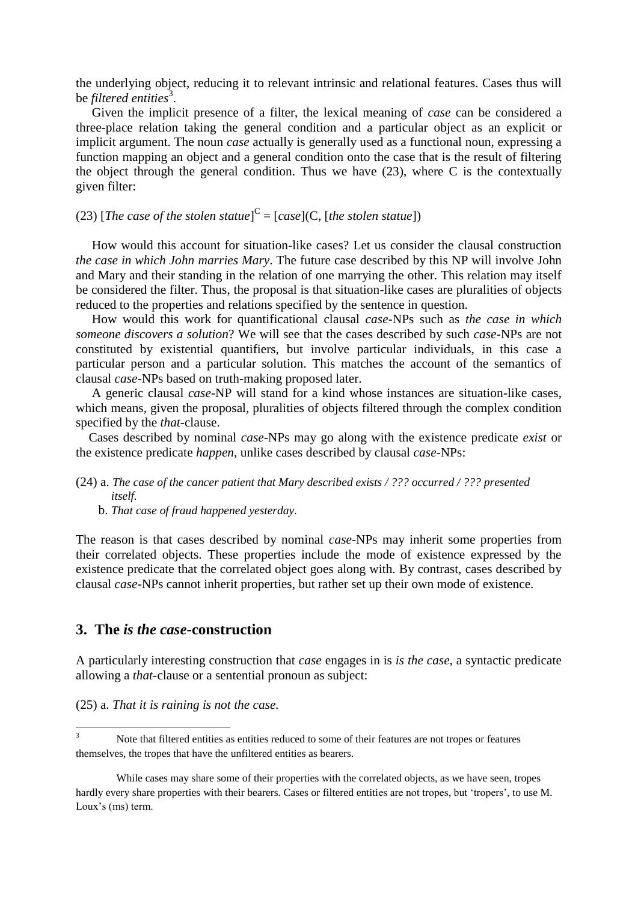the underlying object, reducing it to relevant intrinsic and relational features. Cases thus will be *filtered entities*<sup>3</sup>.

 Given the implicit presence of a filter, the lexical meaning of *case* can be considered a three-place relation taking the general condition and a particular object as an explicit or implicit argument. The noun *case* actually is generally used as a functional noun, expressing a function mapping an object and a general condition onto the case that is the result of filtering the object through the general condition. Thus we have  $(23)$ , where C is the contextually given filter:

# (23) [The case of the stolen statue]<sup>C</sup> = [case](C, [the stolen statue])

 How would this account for situation-like cases? Let us consider the clausal construction *the case in which John marries Mary*. The future case described by this NP will involve John and Mary and their standing in the relation of one marrying the other. This relation may itself be considered the filter. Thus, the proposal is that situation-like cases are pluralities of objects reduced to the properties and relations specified by the sentence in question.

 How would this work for quantificational clausal *case*-NPs such as *the case in which someone discovers a solution*? We will see that the cases described by such *case*-NPs are not constituted by existential quantifiers, but involve particular individuals, in this case a particular person and a particular solution. This matches the account of the semantics of clausal *case*-NPs based on truth-making proposed later.

 A generic clausal *case*-NP will stand for a kind whose instances are situation-like cases, which means, given the proposal, pluralities of objects filtered through the complex condition specified by the *that*-clause.

 Cases described by nominal *case*-NPs may go along with the existence predicate *exist* or the existence predicate *happen*, unlike cases described by clausal *case*-NPs:

## (24) a. *The case of the cancer patient that Mary described exists / ??? occurred / ??? presented itself.*

b. *That case of fraud happened yesterday.*

The reason is that cases described by nominal *case*-NPs may inherit some properties from their correlated objects. These properties include the mode of existence expressed by the existence predicate that the correlated object goes along with. By contrast, cases described by clausal *case*-NPs cannot inherit properties, but rather set up their own mode of existence.

# **3. The** *is the case***-construction**

A particularly interesting construction that *case* engages in is *is the case*, a syntactic predicate allowing a *that-*clause or a sentential pronoun as subject:

(25) a. *That it is raining is not the case.*

**.** 

Note that filtered entities as entities reduced to some of their features are not tropes or features themselves, the tropes that have the unfiltered entities as bearers.

While cases may share some of their properties with the correlated objects, as we have seen, tropes hardly every share properties with their bearers. Cases or filtered entities are not tropes, but 'tropers', to use M. Loux's (ms) term.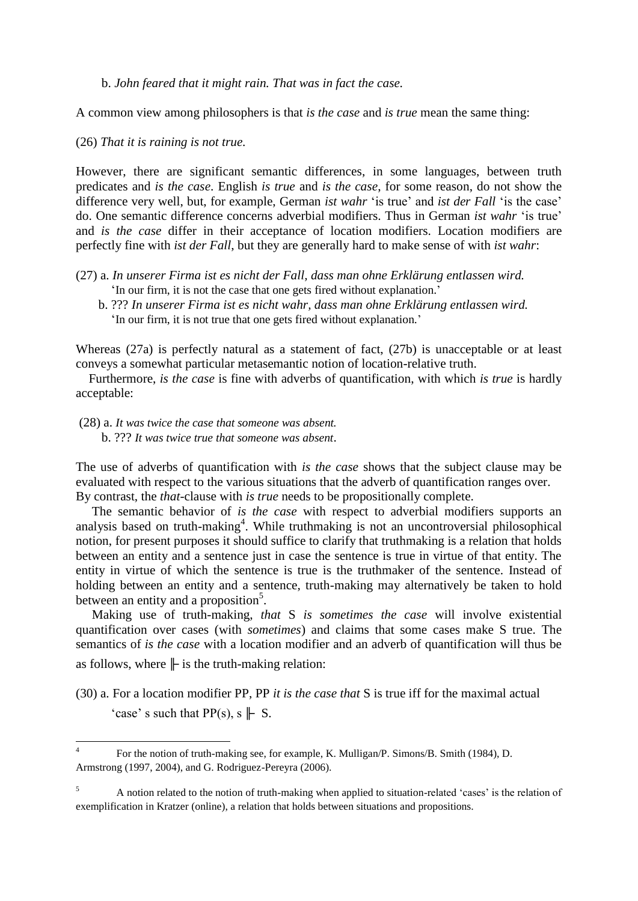b. *John feared that it might rain. That was in fact the case.*

A common view among philosophers is that *is the case* and *is true* mean the same thing:

(26) *That it is raining is not true.*

However, there are significant semantic differences, in some languages, between truth predicates and *is the case*. English *is true* and *is the case*, for some reason, do not show the difference very well, but, for example, German *ist wahr* 'is true' and *ist der Fall* 'is the case' do. One semantic difference concerns adverbial modifiers. Thus in German *ist wahr* 'is true' and *is the case* differ in their acceptance of location modifiers. Location modifiers are perfectly fine with *ist der Fall*, but they are generally hard to make sense of with *ist wahr*:

- (27) a. *In unserer Firma ist es nicht der Fall, dass man ohne Erklärung entlassen wird.* 'In our firm, it is not the case that one gets fired without explanation.'
	- b. ??? *In unserer Firma ist es nicht wahr, dass man ohne Erklärung entlassen wird.* 'In our firm, it is not true that one gets fired without explanation.'

Whereas (27a) is perfectly natural as a statement of fact, (27b) is unacceptable or at least conveys a somewhat particular metasemantic notion of location-relative truth.

 Furthermore, *is the case* is fine with adverbs of quantification, with which *is true* is hardly acceptable:

(28) a. *It was twice the case that someone was absent.*  b. ??? *It was twice true that someone was absent*.

**.** 

The use of adverbs of quantification with *is the case* shows that the subject clause may be evaluated with respect to the various situations that the adverb of quantification ranges over. By contrast, the *that-*clause with *is true* needs to be propositionally complete.

 The semantic behavior of *is the case* with respect to adverbial modifiers supports an analysis based on truth-making<sup>4</sup>. While truthmaking is not an uncontroversial philosophical notion, for present purposes it should suffice to clarify that truthmaking is a relation that holds between an entity and a sentence just in case the sentence is true in virtue of that entity. The entity in virtue of which the sentence is true is the truthmaker of the sentence. Instead of holding between an entity and a sentence, truth-making may alternatively be taken to hold between an entity and a proposition<sup>5</sup>.

 Making use of truth-making, *that* S *is sometimes the case* will involve existential quantification over cases (with *sometimes*) and claims that some cases make S true. The semantics of *is the case* with a location modifier and an adverb of quantification will thus be as follows, where  $\|$  is the truth-making relation:

(30) a. For a location modifier PP, PP *it is the case that* S is true iff for the maximal actual 'case' s such that  $PP(s)$ , s  $\parallel$  S.

<sup>4</sup> For the notion of truth-making see, for example, K. Mulligan/P. Simons/B. Smith (1984), D. Armstrong (1997, 2004), and G. Rodriguez-Pereyra (2006).

<sup>5</sup> A notion related to the notion of truth-making when applied to situation-related 'cases' is the relation of exemplification in Kratzer (online), a relation that holds between situations and propositions.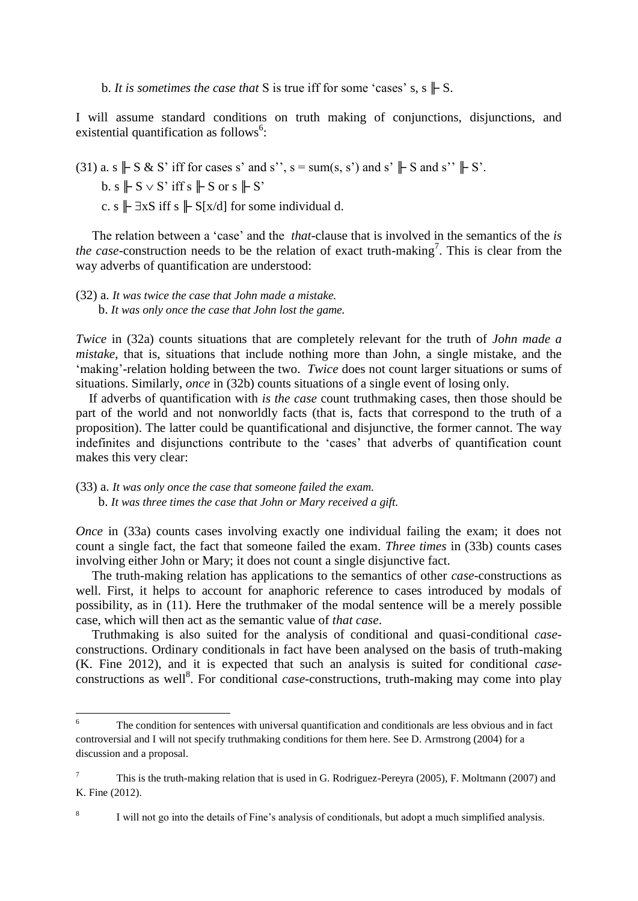b. *It is sometimes the case that* S is true iff for some 'cases' s, s  $\parallel$  S.

I will assume standard conditions on truth making of conjunctions, disjunctions, and existential quantification as follows<sup>6</sup>:

(31) a. s  $\parallel$  S & S' iff for cases s' and s'', s = sum(s, s') and s'  $\parallel$  S and s''  $\parallel$  S'.

b. s  $\parallel$  S  $\vee$  S' iff s  $\parallel$  S or s  $\parallel$  S'

c. s  $\|$   $\exists$ xS iff s  $\|$  S[x/d] for some individual d.

 The relation between a 'case' and the *that*-clause that is involved in the semantics of the *is the case*-construction needs to be the relation of exact truth-making<sup>7</sup>. This is clear from the way adverbs of quantification are understood:

(32) a. *It was twice the case that John made a mistake.* b. *It was only once the case that John lost the game.*

*Twice* in (32a) counts situations that are completely relevant for the truth of *John made a mistake*, that is, situations that include nothing more than John, a single mistake, and the 'making'-relation holding between the two. *Twice* does not count larger situations or sums of situations. Similarly, *once* in (32b) counts situations of a single event of losing only.

 If adverbs of quantification with *is the case* count truthmaking cases, then those should be part of the world and not nonworldly facts (that is, facts that correspond to the truth of a proposition). The latter could be quantificational and disjunctive, the former cannot. The way indefinites and disjunctions contribute to the 'cases' that adverbs of quantification count makes this very clear:

(33) a. *It was only once the case that someone failed the exam.* b. *It was three times the case that John or Mary received a gift.*

*Once* in (33a) counts cases involving exactly one individual failing the exam; it does not count a single fact, the fact that someone failed the exam. *Three times* in (33b) counts cases involving either John or Mary; it does not count a single disjunctive fact.

 The truth-making relation has applications to the semantics of other *case*-constructions as well. First, it helps to account for anaphoric reference to cases introduced by modals of possibility, as in (11). Here the truthmaker of the modal sentence will be a merely possible case, which will then act as the semantic value of *that case*.

 Truthmaking is also suited for the analysis of conditional and quasi-conditional *case*constructions. Ordinary conditionals in fact have been analysed on the basis of truth-making (K. Fine 2012), and it is expected that such an analysis is suited for conditional *case*constructions as well<sup>8</sup>. For conditional *case*-constructions, truth-making may come into play

 $\sqrt{6}$ The condition for sentences with universal quantification and conditionals are less obvious and in fact controversial and I will not specify truthmaking conditions for them here. See D. Armstrong (2004) for a discussion and a proposal.

<sup>7</sup> This is the truth-making relation that is used in G. Rodriguez-Pereyra (2005), F. Moltmann (2007) and K. Fine (2012).

<sup>8</sup> I will not go into the details of Fine's analysis of conditionals, but adopt a much simplified analysis.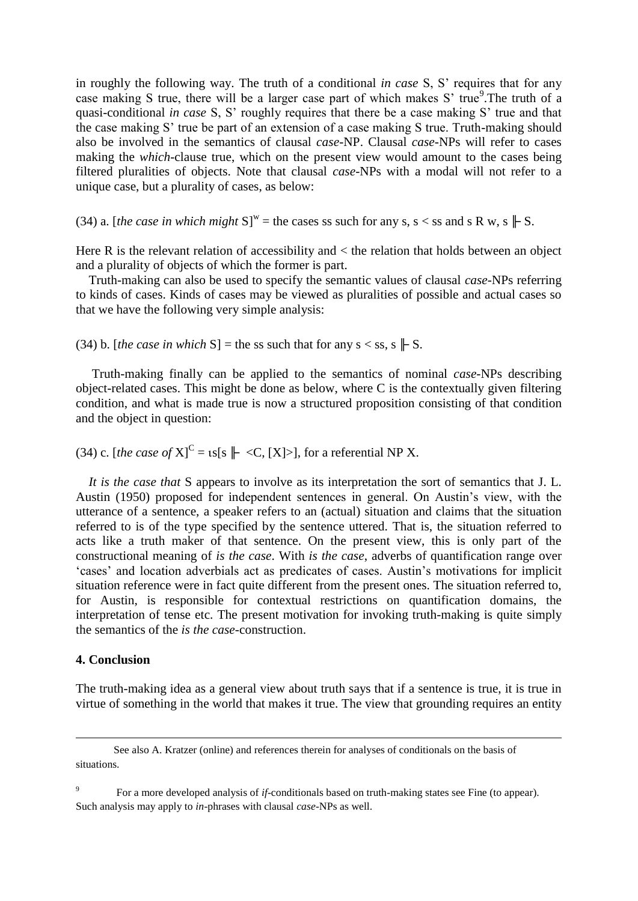in roughly the following way. The truth of a conditional *in case* S, S' requires that for any case making S true, there will be a larger case part of which makes S' true<sup>9</sup>. The truth of a quasi-conditional *in case* S, S' roughly requires that there be a case making S' true and that the case making S' true be part of an extension of a case making S true. Truth-making should also be involved in the semantics of clausal *case*-NP. Clausal *case*-NPs will refer to cases making the *which*-clause true, which on the present view would amount to the cases being filtered pluralities of objects. Note that clausal *case*-NPs with a modal will not refer to a unique case, but a plurality of cases, as below:

(34) a. [*the case in which might*  $S^w$  = the cases ss such for any s, s < ss and s R w, s  $\parallel S$ .

Here R is the relevant relation of accessibility and < the relation that holds between an object and a plurality of objects of which the former is part.

 Truth-making can also be used to specify the semantic values of clausal *case-*NPs referring to kinds of cases. Kinds of cases may be viewed as pluralities of possible and actual cases so that we have the following very simple analysis:

(34) b. [*the case in which* S] = the ss such that for any  $s < ss$ ,  $s \not\Vdash S$ .

 Truth-making finally can be applied to the semantics of nominal *case*-NPs describing object-related cases. This might be done as below, where C is the contextually given filtering condition, and what is made true is now a structured proposition consisting of that condition and the object in question:

(34) c. [*the case of*  $X$ ]<sup>C</sup> =  $\iota$ s[s  $\Vdash \langle C, [X] \rangle$ ], for a referential NP X.

 *It is the case that* S appears to involve as its interpretation the sort of semantics that J. L. Austin (1950) proposed for independent sentences in general. On Austin's view, with the utterance of a sentence, a speaker refers to an (actual) situation and claims that the situation referred to is of the type specified by the sentence uttered. That is, the situation referred to acts like a truth maker of that sentence. On the present view, this is only part of the constructional meaning of *is the case*. With *is the case*, adverbs of quantification range over 'cases' and location adverbials act as predicates of cases. Austin's motivations for implicit situation reference were in fact quite different from the present ones. The situation referred to, for Austin, is responsible for contextual restrictions on quantification domains, the interpretation of tense etc. The present motivation for invoking truth-making is quite simply the semantics of the *is the case-*construction.

## **4. Conclusion**

 $\overline{a}$ 

The truth-making idea as a general view about truth says that if a sentence is true, it is true in virtue of something in the world that makes it true. The view that grounding requires an entity

See also A. Kratzer (online) and references therein for analyses of conditionals on the basis of situations.

<sup>9</sup> For a more developed analysis of *if*-conditionals based on truth-making states see Fine (to appear). Such analysis may apply to *in*-phrases with clausal *case*-NPs as well.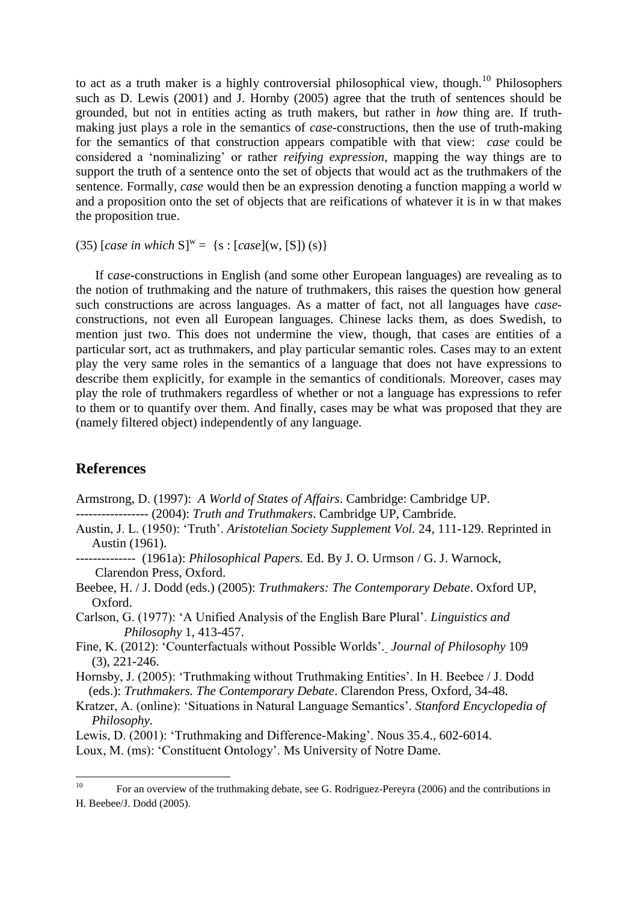to act as a truth maker is a highly controversial philosophical view, though.<sup>10</sup> Philosophers such as D. Lewis (2001) and J. Hornby (2005) agree that the truth of sentences should be grounded, but not in entities acting as truth makers, but rather in *how* thing are. If truthmaking just plays a role in the semantics of *case-*constructions, then the use of truth-making for the semantics of that construction appears compatible with that view: *case* could be considered a 'nominalizing' or rather *reifying expression*, mapping the way things are to support the truth of a sentence onto the set of objects that would act as the truthmakers of the sentence. Formally, *case* would then be an expression denoting a function mapping a world w and a proposition onto the set of objects that are reifications of whatever it is in w that makes the proposition true.

(35)  $[case in which S]^w = \{s : [case](w, [S]) (s)\}\$ 

 If c*ase*-constructions in English (and some other European languages) are revealing as to the notion of truthmaking and the nature of truthmakers, this raises the question how general such constructions are across languages. As a matter of fact, not all languages have *case*constructions, not even all European languages. Chinese lacks them, as does Swedish, to mention just two. This does not undermine the view, though, that cases are entities of a particular sort, act as truthmakers, and play particular semantic roles. Cases may to an extent play the very same roles in the semantics of a language that does not have expressions to describe them explicitly, for example in the semantics of conditionals. Moreover, cases may play the role of truthmakers regardless of whether or not a language has expressions to refer to them or to quantify over them. And finally, cases may be what was proposed that they are (namely filtered object) independently of any language.

# **References**

Armstrong, D. (1997): *A World of States of Affairs*. Cambridge: Cambridge UP. ----------------- (2004): *Truth and Truthmakers*. Cambridge UP, Cambride.

Austin, J. L. (1950): 'Truth'. *Aristotelian Society Supplement Vol.* 24, 111-129. Reprinted in Austin (1961).

-------------- (1961a): *Philosophical Papers.* Ed. By J. O. Urmson / G. J. Warnock, Clarendon Press, Oxford.

Beebee, H. / J. Dodd (eds.) (2005): *Truthmakers: The Contemporary Debate*. Oxford UP, Oxford.

Carlson, G. (1977): 'A Unified Analysis of the English Bare Plural'. *Linguistics and Philosophy* 1, 413-457.

Fine, K. (2012): 'Counterfactuals without Possible Worlds'[.](http://as.nyu.edu/docs/IO/1160/Counterfactuals-jp.pdf) *Journal of Philosophy* 109 (3), 221-246.

Hornsby, J. (2005): 'Truthmaking without Truthmaking Entities'. In H. Beebee / J. Dodd (eds.): *Truthmakers. The Contemporary Debate*. Clarendon Press, Oxford, 34-48.

Kratzer, A. (online): 'Situations in Natural Language Semantics'. *Stanford Encyclopedia of Philosophy.*

Lewis, D. (2001): 'Truthmaking and Difference-Making'. Nous 35.4., 602-6014.

Loux, M. (ms): 'Constituent Ontology'. Ms University of Notre Dame.

 $10$ <sup>10</sup> For an overview of the truthmaking debate, see G. Rodriguez-Pereyra (2006) and the contributions in H. Beebee/J. Dodd (2005).